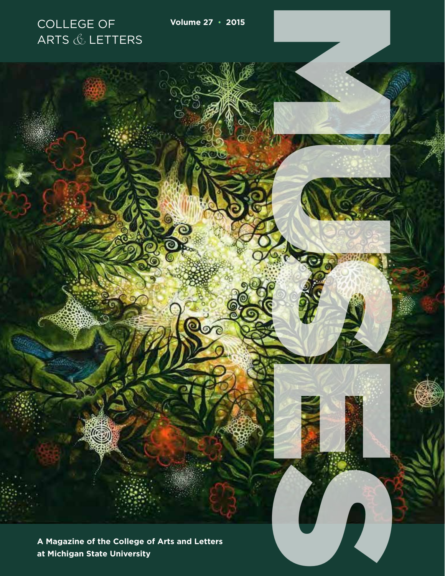**A Magazine of the College of Arts and Letters at Michigan State University**

**Qoo** 

COLLEGE OF **Volume 27 • 2015**

RESERVE CONTROL

ARTS  $&$  LETTERS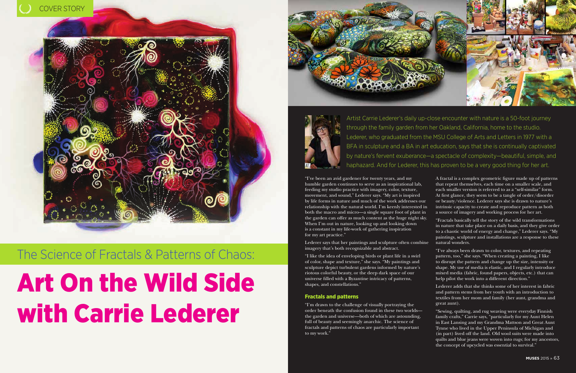### The Science of Fractals & Patterns of Chaos:

# Art On the Wild Side with Carrie Lederer





"I've been an avid gardener for twenty years, and my humble garden continues to serve as an inspirational lab, feeding my studio practice with imagery, color, texture, movement, and sound," Lederer says. "My art is inspired by life forms in nature and much of the work addresses our relationship with the natural world. I'm keenly interested in both the macro and micro—a single square foot of plant in the garden can offer as much content as the huge night sky. When I'm out in nature, looking up and looking down is a constant in my life-work of gathering inspiration for my art practice."

Lederer says that her paintings and sculpture often combine imagery that's both recognizable and abstract.

"I like the idea of enveloping birds or plant life in a swirl of color, shape and texture," she says. "My paintings and sculpture depict turbulent gardens informed by nature's riotous colorful beauty, or the deep dark space of our universe filled with a Byzantine intricacy of patterns, shapes, and constellations."

#### Fractals and patterns

"I'm drawn to the challenge of visually portraying the order beneath the confusion found in these two worlds the garden and universe—both of which are astounding, full of beauty and seemingly anarchic. The science of fractals and patterns of chaos are particularly important to my work."

A fractal is a complex geometric figure made up of patterns that repeat themselves, each time on a smaller scale, and each smaller version is referred to as a "self-similar" form. At first glance, they seem to be a tangle of order/disorder or beauty/violence. Lederer says she is drawn to nature's intrinsic capacity to create and reproduce pattern as both a source of imagery and working process for her art.

"Fractals basically tell the story of the wild transformations in nature that take place on a daily basis, and they give order to a chaotic world of energy and change," Lederer says. "My paintings, sculpture and installations are a response to these natural wonders.

"I've always been drawn to color, textures, and repeating pattern, too," she says. "When creating a painting, I like to disrupt the pattern and change up the size, intensity or shape. My use of media is elastic, and I regularly introduce mixed media (fabric, found papers, objects, etc.) that can help pilot the work into a different direction."

Lederer adds that she thinks some of her interest in fabric and pattern stems from her youth with an introduction to textiles from her mom and family (her aunt, grandma and great aunt).

"Sewing, quilting, and rug weaving were everyday Finnish family crafts," Carrie says, "particularly for my Aunt Helen in East Lansing and my Grandma Mattson and Great Aunt Tynne who lived in the Upper Peninsula of Michigan and (in part) lived off the land. Old wool suits were made into quilts and blue jeans were woven into rugs; for my ancestors, the concept of upcycled was essential to survival."

Artist Carrie Lederer's daily up-close encounter with nature is a 50-foot journey through the family garden from her Oakland, California, home to the studio. Lederer, who graduated from the MSU College of Arts and Letters in 1977 with a BFA in sculpture and a BA in art education, says that she is continually captivated by nature's fervent exuberance—a spectacle of complexity—beautiful, simple, and haphazard. And for Lederer, this has proven to be a very good thing for her art.